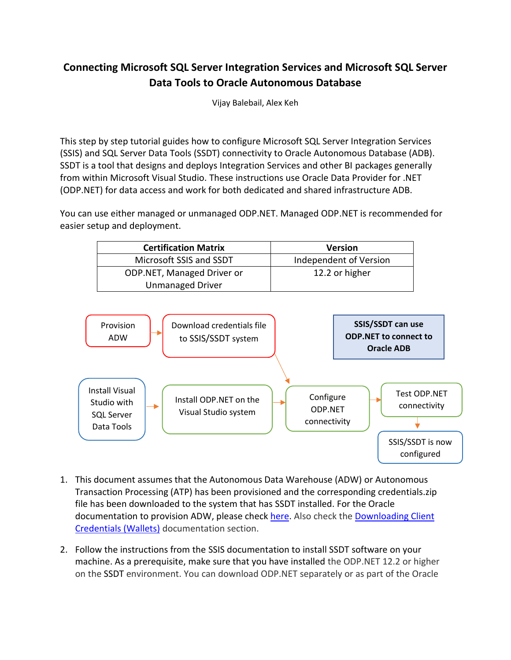# **Connecting Microsoft SQL Server Integration Services and Microsoft SQL Server Data Tools to Oracle Autonomous Database**

Vijay Balebail, Alex Keh

This step by step tutorial guides how to configure Microsoft SQL Server Integration Services (SSIS) and SQL Server Data Tools (SSDT) connectivity to Oracle Autonomous Database (ADB). SSDT is a tool that designs and deploys Integration Services and other BI packages generally from within Microsoft Visual Studio. These instructions use Oracle Data Provider for .NET (ODP.NET) for data access and work for both dedicated and shared infrastructure ADB.

You can use either managed or unmanaged ODP.NET. Managed ODP.NET is recommended for easier setup and deployment.

| <b>Certification Matrix</b> | <b>Version</b>         |
|-----------------------------|------------------------|
| Microsoft SSIS and SSDT     | Independent of Version |
| ODP.NET, Managed Driver or  | 12.2 or higher         |
| <b>Unmanaged Driver</b>     |                        |



- 1. This document assumes that the Autonomous Data Warehouse (ADW) or Autonomous Transaction Processing (ATP) has been provisioned and the corresponding credentials.zip file has been downloaded to the system that has SSDT installed. For the Oracle documentation to provision ADW, please check [here.](http://www.oracle.com/webfolder/technetwork/tutorials/obe/cloud/adwc/OBE_Provisioning_Autonomous_Data_Warehouse_Cloud_bak/provisioning_autonomous_data_warehouse_cloud_v2.html) Also check the [Downloading Client](https://docs.oracle.com/en/cloud/paas/autonomous-data-warehouse-cloud/user/connect-download-wallet.html#GUID-B06202D2-0597-41AA-9481-3B174F75D4B1) [Credentials \(Wallets\)](https://docs.oracle.com/en/cloud/paas/autonomous-data-warehouse-cloud/user/connect-download-wallet.html#GUID-B06202D2-0597-41AA-9481-3B174F75D4B1) documentation section.
- 2. Follow the instructions from the SSIS documentation to install SSDT software on your machine. As a prerequisite, make sure that you have installed the ODP.NET 12.2 or higher on the SSDT environment. You can download ODP.NET separately or as part of the Oracle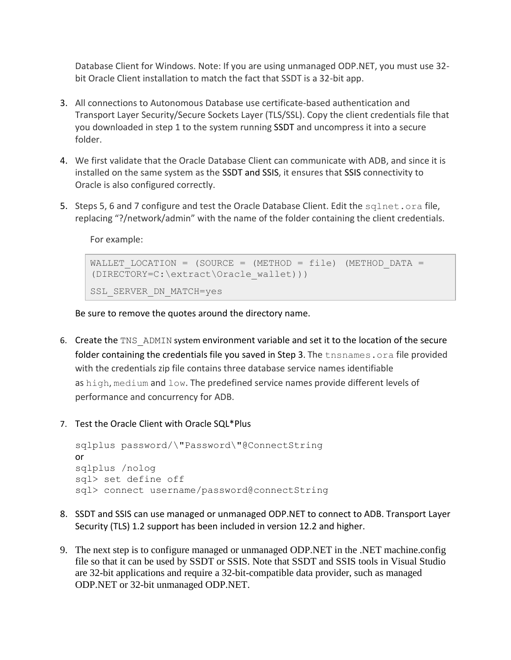Database Client for Windows. Note: If you are using unmanaged ODP.NET, you must use 32 bit Oracle Client installation to match the fact that SSDT is a 32-bit app.

- 3. All connections to Autonomous Database use certificate-based authentication and Transport Layer Security/Secure Sockets Layer (TLS/SSL). Copy the client credentials file that you downloaded in step 1 to the system running SSDT and uncompress it into a secure folder.
- 4. We first validate that the Oracle Database Client can communicate with ADB, and since it is installed on the same system as the SSDT and SSIS, it ensures that SSIS connectivity to Oracle is also configured correctly.
- 5. Steps 5, 6 and 7 configure and test the Oracle Database Client. Edit the sqlnet.ora file, replacing "?/network/admin" with the name of the folder containing the client credentials.

For example:

```
WALLET LOCATION = (SOURCE = (METHOD = file) (METHOD DATA =
(DIRECTORY=C:\extract\Oracle_wallet)))
SSL SERVER DN MATCH=yes
```
Be sure to remove the quotes around the directory name.

- 6. Create the TNS ADMIN system environment variable and set it to the location of the secure folder containing the credentials file you saved in Step 3. The theoremes.ora file provided with the credentials zip file contains three database service names identifiable as high, medium and low. The predefined service names provide different levels of performance and concurrency for ADB.
- 7. Test the Oracle Client with Oracle SQL\*Plus

```
sqlplus password/\"Password\"@ConnectString
or
sqlplus /nolog
sql> set define off
sql> connect username/password@connectString
```
- 8. SSDT and SSIS can use managed or unmanaged ODP.NET to connect to ADB. Transport Layer Security (TLS) 1.2 support has been included in version 12.2 and higher.
- 9. The next step is to configure managed or unmanaged ODP.NET in the .NET machine.config file so that it can be used by SSDT or SSIS. Note that SSDT and SSIS tools in Visual Studio are 32-bit applications and require a 32-bit-compatible data provider, such as managed ODP.NET or 32-bit unmanaged ODP.NET.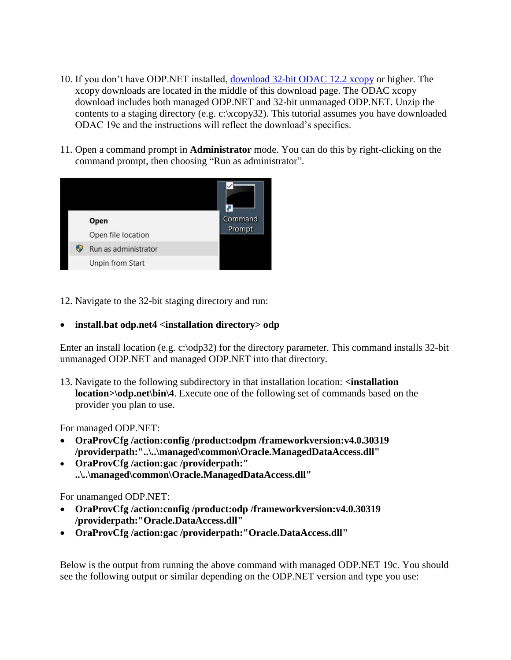- 10. If you don't have ODP.NET installed, [download 32-bit ODAC](https://www.oracle.com/database/technologies/dotnet-odacdeploy-downloads.html) 12.2 xcopy or higher. The xcopy downloads are located in the middle of this download page. The ODAC xcopy download includes both managed ODP.NET and 32-bit unmanaged ODP.NET. Unzip the contents to a staging directory (e.g. c:\xcopy32). This tutorial assumes you have downloaded ODAC 19c and the instructions will reflect the download's specifics.
- 11. Open a command prompt in **Administrator** mode. You can do this by right-clicking on the command prompt, then choosing "Run as administrator".



12. Navigate to the 32-bit staging directory and run:

### **install.bat odp.net4 <installation directory> odp**

Enter an install location (e.g. c:\odp32) for the directory parameter. This command installs 32-bit unmanaged ODP.NET and managed ODP.NET into that directory.

13. Navigate to the following subdirectory in that installation location: **<installation location>\odp.net\bin\4**. Execute one of the following set of commands based on the provider you plan to use.

For managed ODP.NET:

- **OraProvCfg /action:config /product:odpm /frameworkversion:v4.0.30319 /providerpath:"..\..\managed\common\Oracle.ManagedDataAccess.dll"**
- **OraProvCfg /action:gac /providerpath:" ..\..\managed\common\Oracle.ManagedDataAccess.dll"**

#### For unamanged ODP.NET:

- **OraProvCfg /action:config /product:odp /frameworkversion:v4.0.30319 /providerpath:"Oracle.DataAccess.dll"**
- **OraProvCfg /action:gac /providerpath:"Oracle.DataAccess.dll"**

Below is the output from running the above command with managed ODP.NET 19c. You should see the following output or similar depending on the ODP.NET version and type you use: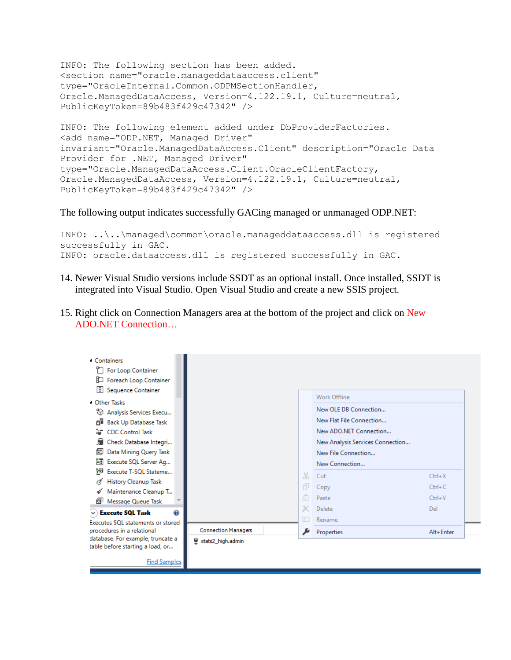```
INFO: The following section has been added.
<section name="oracle.manageddataaccess.client" 
type="OracleInternal.Common.ODPMSectionHandler, 
Oracle.ManagedDataAccess, Version=4.122.19.1, Culture=neutral, 
PublicKeyToken=89b483f429c47342" />
INFO: The following element added under DbProviderFactories.
<add name="ODP.NET, Managed Driver" 
invariant="Oracle.ManagedDataAccess.Client" description="Oracle Data 
Provider for .NET, Managed Driver" 
type="Oracle.ManagedDataAccess.Client.OracleClientFactory, 
Oracle.ManagedDataAccess, Version=4.122.19.1, Culture=neutral, 
PublicKeyToken=89b483f429c47342" />
```
#### The following output indicates successfully GACing managed or unmanaged ODP.NET:

```
INFO: ..\..\managed\common\oracle.manageddataaccess.dll is registered 
successfully in GAC.
INFO: oracle.dataaccess.dll is registered successfully in GAC.
```
- 14. Newer Visual Studio versions include SSDT as an optional install. Once installed, SSDT is integrated into Visual Studio. Open Visual Studio and create a new SSIS project.
- 15. Right click on Connection Managers area at the bottom of the project and click on New ADO.NET Connection…

| 4 Containers                       |                            |    |                                  |            |
|------------------------------------|----------------------------|----|----------------------------------|------------|
| For Loop Container                 |                            |    |                                  |            |
| Foreach Loop Container             |                            |    |                                  |            |
| 모<br>Sequence Container            |                            |    |                                  |            |
|                                    |                            |    | Work Offline                     |            |
| <sup>4</sup> Other Tasks           |                            |    | New OLE DB Connection            |            |
| ₹∂<br>Analysis Services Execu      |                            |    |                                  |            |
| <b>Back Up Database Task</b><br>Αī |                            |    | New Flat File Connection         |            |
| <b>AT</b> CDC Control Task         |                            |    | New ADO.NET Connection           |            |
| Check Database Integri             |                            |    | New Analysis Services Connection |            |
| Data Mining Query Task<br>還        |                            |    | New File Connection              |            |
| Execute SQL Server Ag<br>ńП,       |                            |    | New Connection                   |            |
| 'nЭ<br>Execute T-SQL Stateme       |                            | X  | Cut                              | $Ctrl+X$   |
| <b>History Cleanup Task</b>        |                            |    |                                  |            |
| Maintenance Cleanup T              |                            | Ò. | Copy                             | $Ctrl + C$ |
| o<br>Message Queue Task            |                            | ĥ  | Paste                            | $Ctrl + V$ |
| <b>Execute SQL Task</b><br>ø       |                            |    | Delete                           | Del        |
| Executes SOL statements or stored  |                            |    | Rename                           |            |
| procedures in a relational         | <b>Connection Managers</b> |    | Properties                       | Alt+Enter  |
| database. For example, truncate a  | stats2 high.admin          |    |                                  |            |
| table before starting a load, or   |                            |    |                                  |            |
| <b>Find Samples</b>                |                            |    |                                  |            |
|                                    |                            |    |                                  |            |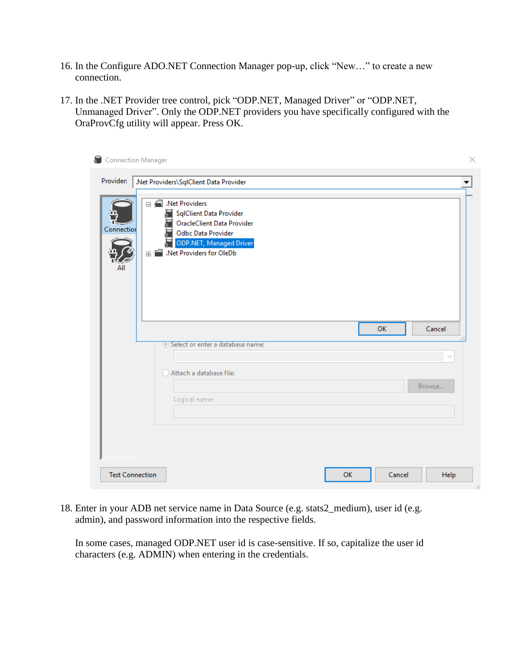- 16. In the Configure ADO.NET Connection Manager pop-up, click "New…" to create a new connection.
- 17. In the .NET Provider tree control, pick ["ODP.NET,](http://odp.net/) Managed Driver" or ["ODP.NET,](http://odp.net/) Unmanaged Driver". Only the ODP.NET providers you have specifically configured with the OraProvCfg utility will appear. Press OK.

| Connection Manager     |                                                                                                                                                               | × |
|------------------------|---------------------------------------------------------------------------------------------------------------------------------------------------------------|---|
| Provider:              | .Net Providers\SqlClient Data Provider                                                                                                                        |   |
| Connection<br>ΑII      | □ Net Providers<br>SqlClient Data Provider<br>OracleClient Data Provider<br>Odbc Data Provider<br><b>ODP.NET, Managed Driver</b><br>E Met Providers for OleDb |   |
|                        | OK<br>Cancel                                                                                                                                                  |   |
|                        | (.) Select or enter a database name:                                                                                                                          |   |
|                        |                                                                                                                                                               |   |
|                        | Attach a database file:                                                                                                                                       |   |
|                        | Browse                                                                                                                                                        |   |
|                        | Logical name:                                                                                                                                                 |   |
|                        |                                                                                                                                                               |   |
|                        |                                                                                                                                                               |   |
|                        |                                                                                                                                                               |   |
|                        |                                                                                                                                                               |   |
| <b>Test Connection</b> | OK<br>Cancel<br>Help                                                                                                                                          |   |

18. Enter in your ADB net service name in Data Source (e.g. stats2\_medium), user id (e.g. admin), and password information into the respective fields.

In some cases, managed ODP.NET user id is case-sensitive. If so, capitalize the user id characters (e.g. ADMIN) when entering in the credentials.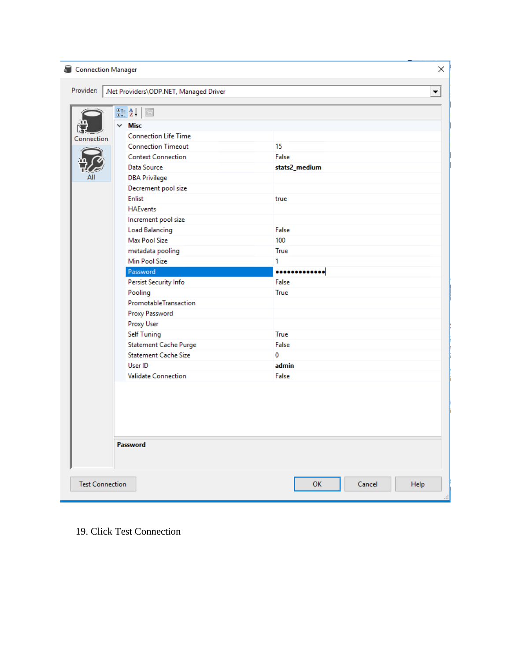| Connection Manager     |                                                                                                                                                                                                                                                                                                     | ×                                    |
|------------------------|-----------------------------------------------------------------------------------------------------------------------------------------------------------------------------------------------------------------------------------------------------------------------------------------------------|--------------------------------------|
| Provider:              | Net Providers\ODP.NET, Managed Driver                                                                                                                                                                                                                                                               |                                      |
| Connection             | $\frac{1}{2}$ $\frac{1}{2}$ $\frac{1}{2}$<br>$\Xi$<br>$\checkmark$<br><b>Misc</b><br><b>Connection Life Time</b><br><b>Connection Timeout</b><br><b>Context Connection</b><br>Data Source<br><b>DBA Privilege</b><br>Decrement pool size<br><b>Enlist</b><br><b>HAEvents</b><br>Increment pool size | 15<br>False<br>stats2_medium<br>true |
|                        | <b>Load Balancing</b><br>Max Pool Size<br>metadata pooling<br>Min Pool Size                                                                                                                                                                                                                         | False<br>100<br>True<br>1            |
|                        | Password                                                                                                                                                                                                                                                                                            |                                      |
|                        | Persist Security Info                                                                                                                                                                                                                                                                               | False                                |
|                        | Pooling<br>PromotableTransaction<br>Proxy Password                                                                                                                                                                                                                                                  | True                                 |
|                        | <b>Proxy User</b>                                                                                                                                                                                                                                                                                   | True                                 |
|                        | <b>Self Tuning</b><br><b>Statement Cache Purge</b>                                                                                                                                                                                                                                                  | False                                |
|                        | <b>Statement Cache Size</b>                                                                                                                                                                                                                                                                         | 0                                    |
|                        | User ID                                                                                                                                                                                                                                                                                             | admin                                |
|                        | <b>Validate Connection</b>                                                                                                                                                                                                                                                                          | False                                |
|                        |                                                                                                                                                                                                                                                                                                     |                                      |
|                        | Password                                                                                                                                                                                                                                                                                            |                                      |
| <b>Test Connection</b> |                                                                                                                                                                                                                                                                                                     | OK<br>Cancel<br>Help<br>ä.           |

19. Click Test Connection